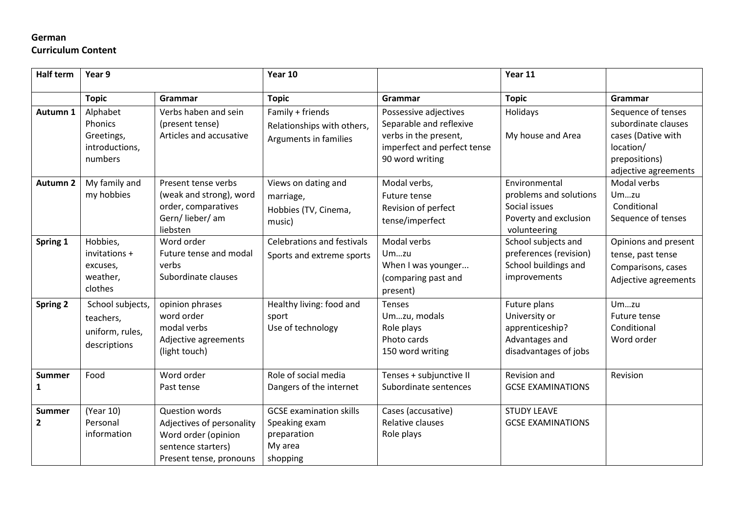# **German**

## **Curriculum Content**

| <b>Half term</b>              | Year 9                                                           |                                                                                                                     | Year 10                                                                               |                                                                                                                             | Year 11                                                                                           |                                                                                                                       |
|-------------------------------|------------------------------------------------------------------|---------------------------------------------------------------------------------------------------------------------|---------------------------------------------------------------------------------------|-----------------------------------------------------------------------------------------------------------------------------|---------------------------------------------------------------------------------------------------|-----------------------------------------------------------------------------------------------------------------------|
|                               | <b>Topic</b>                                                     | Grammar                                                                                                             | <b>Topic</b>                                                                          | Grammar                                                                                                                     | <b>Topic</b>                                                                                      | Grammar                                                                                                               |
| Autumn 1                      | Alphabet<br>Phonics<br>Greetings,<br>introductions,<br>numbers   | Verbs haben and sein<br>(present tense)<br>Articles and accusative                                                  | Family + friends<br>Relationships with others,<br>Arguments in families               | Possessive adjectives<br>Separable and reflexive<br>verbs in the present,<br>imperfect and perfect tense<br>90 word writing | Holidays<br>My house and Area                                                                     | Sequence of tenses<br>subordinate clauses<br>cases (Dative with<br>location/<br>prepositions)<br>adjective agreements |
| <b>Autumn 2</b>               | My family and<br>my hobbies                                      | Present tense verbs<br>(weak and strong), word<br>order, comparatives<br>Gern/lieber/am<br>liebsten                 | Views on dating and<br>marriage,<br>Hobbies (TV, Cinema,<br>music)                    | Modal verbs,<br>Future tense<br>Revision of perfect<br>tense/imperfect                                                      | Environmental<br>problems and solutions<br>Social issues<br>Poverty and exclusion<br>volunteering | Modal verbs<br>Umzu<br>Conditional<br>Sequence of tenses                                                              |
| Spring 1                      | Hobbies,<br>invitations +<br>excuses,<br>weather,<br>clothes     | Word order<br>Future tense and modal<br>verbs<br>Subordinate clauses                                                | <b>Celebrations and festivals</b><br>Sports and extreme sports                        | Modal verbs<br>Umzu<br>When I was younger<br>(comparing past and<br>present)                                                | School subjects and<br>preferences (revision)<br>School buildings and<br>improvements             | Opinions and present<br>tense, past tense<br>Comparisons, cases<br>Adjective agreements                               |
| <b>Spring 2</b>               | School subjects,<br>teachers,<br>uniform, rules,<br>descriptions | opinion phrases<br>word order<br>modal verbs<br>Adjective agreements<br>(light touch)                               | Healthy living: food and<br>sport<br>Use of technology                                | Tenses<br>Umzu, modals<br>Role plays<br>Photo cards<br>150 word writing                                                     | Future plans<br>University or<br>apprenticeship?<br>Advantages and<br>disadvantages of jobs       | Umzu<br>Future tense<br>Conditional<br>Word order                                                                     |
| <b>Summer</b><br>1            | Food                                                             | Word order<br>Past tense                                                                                            | Role of social media<br>Dangers of the internet                                       | Tenses + subjunctive II<br>Subordinate sentences                                                                            | Revision and<br><b>GCSE EXAMINATIONS</b>                                                          | Revision                                                                                                              |
| <b>Summer</b><br>$\mathbf{2}$ | (Year 10)<br>Personal<br>information                             | Question words<br>Adjectives of personality<br>Word order (opinion<br>sentence starters)<br>Present tense, pronouns | <b>GCSE</b> examination skills<br>Speaking exam<br>preparation<br>My area<br>shopping | Cases (accusative)<br>Relative clauses<br>Role plays                                                                        | <b>STUDY LEAVE</b><br><b>GCSE EXAMINATIONS</b>                                                    |                                                                                                                       |